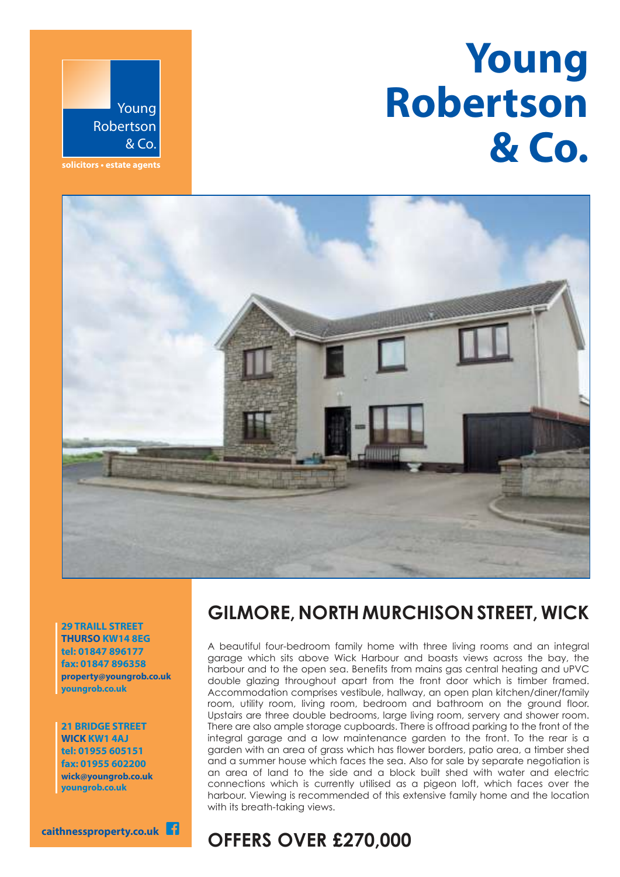# **Young Robertson & Co.**





**29 TRAILL STREET THURSO KW14 8EG tel: 01847 896177 fax: 01847 896358 property@youngrob.co.uk youngrob.co.uk**

**21 BRIDGE STREET WICK KW1 4AJ tel: 01955 605151 fax: 01955 602200 wick@youngrob.co.uk youngrob.co.uk**

**caithnessproperty.co.uk** f

## **GILMORE, NORTH MURCHISON STREET, WICK**

A beautiful four-bedroom family home with three living rooms and an integral garage which sits above Wick Harbour and boasts views across the bay, the harbour and to the open sea. Benefits from mains gas central heating and uPVC double glazing throughout apart from the front door which is timber framed. Accommodation comprises vestibule, hallway, an open plan kitchen/diner/family room, utility room, living room, bedroom and bathroom on the ground floor. Upstairs are three double bedrooms, large living room, servery and shower room. There are also ample storage cupboards. There is offroad parking to the front of the integral garage and a low maintenance garden to the front. To the rear is a garden with an area of grass which has flower borders, patio area, a timber shed and a summer house which faces the sea. Also for sale by separate negotiation is an area of land to the side and a block built shed with water and electric connections which is currently utilised as a pigeon loft, which faces over the harbour. Viewing is recommended of this extensive family home and the location with its breath-taking views.

# **OFFERS OVER £270,000**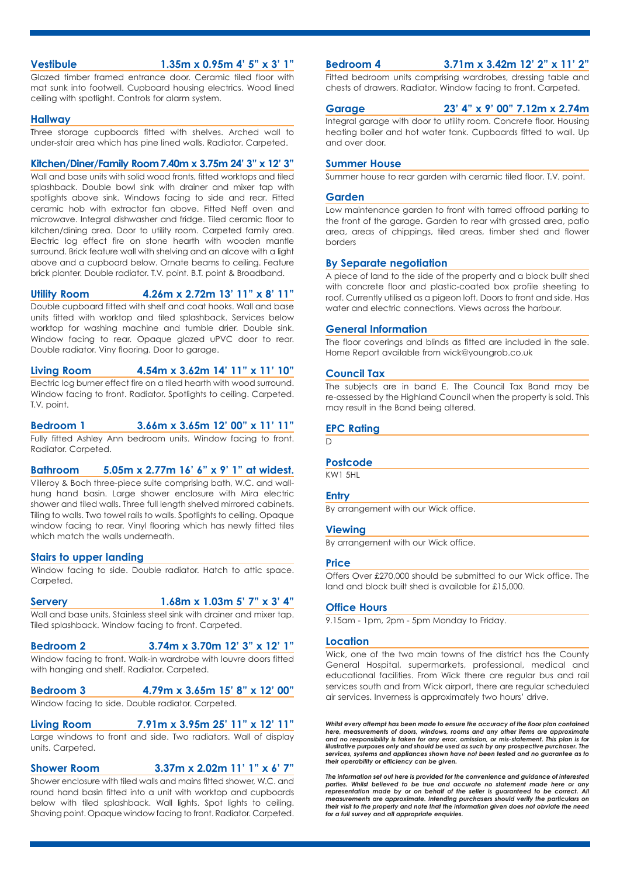### **Vestibule 1.35m x 0.95m 4' 5" x 3' 1"**

Glazed timber framed entrance door. Ceramic tiled floor with mat sunk into footwell. Cupboard housing electrics. Wood lined ceiling with spotlight. Controls for alarm system.

### **Hallway**

Three storage cupboards fitted with shelves. Arched wall to under-stair area which has pine lined walls. Radiator. Carpeted.

### **Kitchen/Diner/Family Room 7.40m x 3.75m 24' 3" x 12' 3"**

Wall and base units with solid wood fronts, fitted worktops and tiled splashback. Double bowl sink with drainer and mixer tap with spotlights above sink. Windows facing to side and rear. Fitted ceramic hob with extractor fan above. Fitted Neff oven and microwave. Integral dishwasher and fridge. Tiled ceramic floor to kitchen/dining area. Door to utility room. Carpeted family area. Electric log effect fire on stone hearth with wooden mantle surround. Brick feature wall with shelving and an alcove with a light above and a cupboard below. Ornate beams to ceiling. Feature brick planter. Double radiator. T.V. point. B.T. point & Broadband.

### **Utility Room 4.26m x 2.72m 13' 11" x 8' 11"**

Double cupboard fitted with shelf and coat hooks. Wall and base units fitted with worktop and tiled splashback. Services below worktop for washing machine and tumble drier. Double sink. Window facing to rear. Opaque glazed uPVC door to rear. Double radiator. Viny flooring. Door to garage.

**Living Room 4.54m x 3.62m 14' 11" x 11' 10"**

Electric log burner effect fire on a tiled hearth with wood surround. Window facing to front. Radiator. Spotlights to ceiling. Carpeted. T.V. point.

### **Bedroom 1 3.66m x 3.65m 12' 00" x 11' 11"**

Fully fitted Ashley Ann bedroom units. Window facing to front. Radiator. Carpeted.

### **Bathroom 5.05m x 2.77m 16' 6" x 9' 1" at widest.**

Villeroy & Boch three-piece suite comprising bath, W.C. and wallhung hand basin. Large shower enclosure with Mira electric shower and tiled walls. Three full length shelved mirrored cabinets. Tiling to walls. Two towel rails to walls. Spotlights to ceiling. Opaque window facing to rear. Vinyl flooring which has newly fitted tiles which match the walls underneath.

### **Stairs to upper landing**

Window facing to side. Double radiator. Hatch to attic space. Carpeted.

### **Servery 1.68m x 1.03m 5' 7" x 3' 4"**

Wall and base units. Stainless steel sink with drainer and mixer tap. Tiled splashback. Window facing to front. Carpeted.

### **Bedroom 2 3.74m x 3.70m 12' 3" x 12' 1"**

Window facing to front. Walk-in wardrobe with louvre doors fitted with hanging and shelf. Radiator. Carpeted.

### **Bedroom 3 4.79m x 3.65m 15' 8" x 12' 00"**

Window facing to side. Double radiator. Carpeted.

### **Living Room 7.91m x 3.95m 25' 11" x 12' 11"**

Large windows to front and side. Two radiators. Wall of display units. Carpeted.

### **Shower Room 3.37m x 2.02m 11' 1" x 6' 7"**

Shower enclosure with tiled walls and mains fitted shower, W.C. and round hand basin fitted into a unit with worktop and cupboards below with tiled splashback. Wall lights. Spot lights to ceiling. Shaving point. Opaque window facing to front. Radiator. Carpeted.

### **Bedroom 4 3.71m x 3.42m 12' 2" x 11' 2"**

Fitted bedroom units comprising wardrobes, dressing table and chests of drawers. Radiator. Window facing to front. Carpeted.

### **Garage 23' 4" x 9' 00" 7.12m x 2.74m**

Integral garage with door to utility room. Concrete floor. Housing heating boiler and hot water tank. Cupboards fitted to wall. Up and over door.

### **Summer House**

Summer house to rear garden with ceramic tiled floor. T.V. point.

### **Garden**

Low maintenance garden to front with tarred offroad parking to the front of the garage. Garden to rear with grassed area, patio area, areas of chippings, tiled areas, timber shed and flower borders

### **By Separate negotiation**

A piece of land to the side of the property and a block built shed with concrete floor and plastic-coated box profile sheeting to roof. Currently utilised as a pigeon loft. Doors to front and side. Has water and electric connections. Views across the harbour.

### **General Information**

The floor coverings and blinds as fitted are included in the sale. Home Report available from wick@youngrob.co.uk

### **Council Tax**

The subjects are in band E. The Council Tax Band may be re-assessed by the Highland Council when the property is sold. This may result in the Band being altered.

### **EPC Rating**

 $\Box$ 

### **Postcode**

 $KW1$  5HL

### **Entry**

By arrangement with our Wick office.

### **Viewing**

By arrangement with our Wick office.

### **Price**

Offers Over £270,000 should be submitted to our Wick office. The land and block built shed is available for £15,000.

### **Office Hours**

9.15am - 1pm, 2pm - 5pm Monday to Friday.

### **Location**

Wick, one of the two main towns of the district has the County General Hospital, supermarkets, professional, medical and educational facilities. From Wick there are regular bus and rail services south and from Wick airport, there are regular scheduled air services. Inverness is approximately two hours' drive.

*Whilst every attempt has been made to ensure the accuracy of the floor plan contained here, measurements of doors, windows, rooms and any other items are approximate and no responsibility is taken for any error, omission, or mis-statement. This plan is for illustrative purposes only and should be used as such by any prospective purchaser. The services, systems and appliances shown have not been tested and no guarantee as to their operability or efficiency can be given.*

*The information set out here is provided for the convenience and guidance of interested*  parties. Whilst believed to be true and accurate no statement made here or any *representation made by or on behalf of the seller is guaranteed to be correct. All measurements are approximate. Intending purchasers should verify the particulars on their visit to the property and note that the information given does not obviate the need for a full survey and all appropriate enquiries.*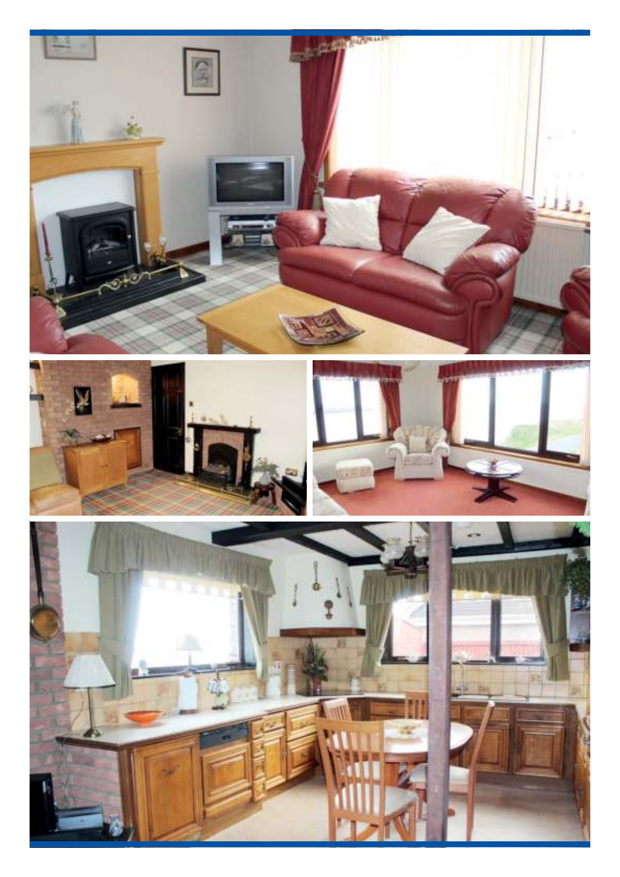